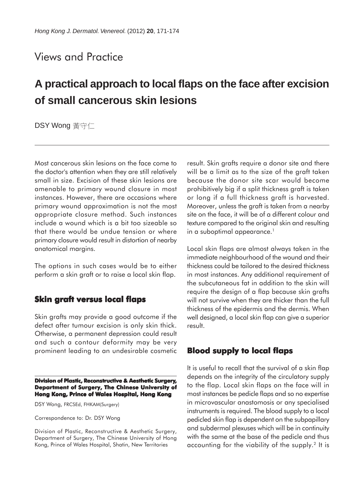## Views and Practice

# **A practical approach to local flaps on the face after excision of small cancerous skin lesions**

DSY Wong 黃守仁

Most cancerous skin lesions on the face come to the doctor's attention when they are still relatively small in size. Excision of these skin lesions are amenable to primary wound closure in most instances. However, there are occasions where primary wound approximation is not the most appropriate closure method. Such instances include a wound which is a bit too sizeable so that there would be undue tension or where primary closure would result in distortion of nearby anatomical margins.

The options in such cases would be to either perform a skin graft or to raise a local skin flap.

### **Skin graft versus local flaps**

Skin grafts may provide a good outcome if the defect after tumour excision is only skin thick. Otherwise, a permanent depression could result and such a contour deformity may be very prominent leading to an undesirable cosmetic

#### **Division of Plastic, Reconstructive & Aesthetic Surgery, Department of Surgery, The Chinese University of Hong Kong, Prince of Wales Hospital, Hong Kong**

DSY Wong, FRCSEd, FHKAM(Surgery)

Correspondence to: Dr. DSY Wong

Division of Plastic, Reconstructive & Aesthetic Surgery, Department of Surgery, The Chinese University of Hong Kong, Prince of Wales Hospital, Shatin, New Territories

result. Skin grafts require a donor site and there will be a limit as to the size of the graft taken because the donor site scar would become prohibitively big if a split thickness graft is taken or long if a full thickness graft is harvested. Moreover, unless the graft is taken from a nearby site on the face, it will be of a different colour and texture compared to the original skin and resulting in a suboptimal appearance.<sup>1</sup>

Local skin flaps are almost always taken in the immediate neighbourhood of the wound and their thickness could be tailored to the desired thickness in most instances. Any additional requirement of the subcutaneous fat in addition to the skin will require the design of a flap because skin grafts will not survive when they are thicker than the full thickness of the epidermis and the dermis. When well designed, a local skin flap can give a superior result.

#### **Blood supply to local flaps**

It is useful to recall that the survival of a skin flap depends on the integrity of the circulatory supply to the flap. Local skin flaps on the face will in most instances be pedicle flaps and so no expertise in microvascular anastomosis or any specialised instruments is required. The blood supply to a local pedicled skin flap is dependent on the subpapillary and subdermal plexuses which will be in continuity with the same at the base of the pedicle and thus accounting for the viability of the supply.2 It is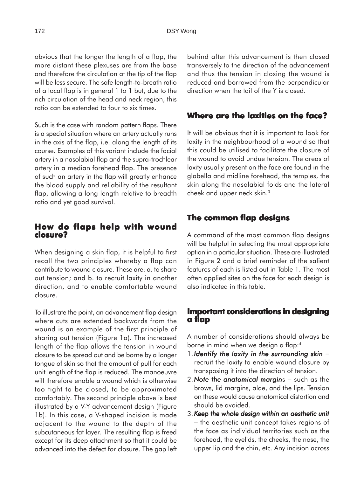obvious that the longer the length of a flap, the more distant these plexuses are from the base and therefore the circulation at the tip of the flap will be less secure. The safe length-to-breath ratio of a local flap is in general 1 to 1 but, due to the rich circulation of the head and neck region, this ratio can be extended to four to six times.

Such is the case with random pattern flaps. There is a special situation where an artery actually runs in the axis of the flap, i.e. along the length of its course. Examples of this variant include the facial artery in a nasolabial flap and the supra-trochlear artery in a median forehead flap. The presence of such an artery in the flap will greatly enhance the blood supply and reliability of the resultant flap, allowing a long length relative to breadth ratio and yet good survival.

#### **How do flaps help with wound closure?**

When designing a skin flap, it is helpful to first recall the two principles whereby a flap can contribute to wound closure. These are: a. to share out tension; and b. to recruit laxity in another direction, and to enable comfortable wound closure.

To illustrate the point, an advancement flap design where cuts are extended backwards from the wound is an example of the first principle of sharing out tension (Figure 1a). The increased length of the flap allows the tension in wound closure to be spread out and be borne by a longer tongue of skin so that the amount of pull for each unit length of the flap is reduced. The manoeuvre will therefore enable a wound which is otherwise too tight to be closed, to be approximated comfortably. The second principle above is best illustrated by a V-Y advancement design (Figure 1b). In this case, a V-shaped incision is made adjacent to the wound to the depth of the subcutaneous fat layer. The resulting flap is freed except for its deep attachment so that it could be advanced into the defect for closure. The gap left behind after this advancement is then closed transversely to the direction of the advancement and thus the tension in closing the wound is reduced and borrowed from the perpendicular direction when the tail of the Y is closed.

#### **Where are the laxities on the face?**

It will be obvious that it is important to look for laxity in the neighbourhood of a wound so that this could be utilised to facilitate the closure of the wound to avoid undue tension. The areas of laxity usually present on the face are found in the glabella and midline forehead, the temples, the skin along the nasolabial folds and the lateral cheek and upper neck skin.3

#### **The common flap designs**

A command of the most common flap designs will be helpful in selecting the most appropriate option in a particular situation. These are illustrated in Figure 2 and a brief reminder of the salient features of each is listed out in Table 1. The most often applied sites on the face for each design is also indicated in this table.

#### **Important considerations in designing a flap**

A number of considerations should always be borne in mind when we design a flap:4

- 1. *Identify the laxity in the surrounding skin* − recruit the laxity to enable wound closure by transposing it into the direction of tension.
- 2. Note the anatomical margins such as the brows, lid margins, alae, and the lips. Tension on these would cause anatomical distortion and should be avoided.
- 3. *Keep the whole design within an aesthetic unit eep the whole design within an aesthetic unit* − the aesthetic unit concept takes regions of the face as individual territories such as the forehead, the eyelids, the cheeks, the nose, the upper lip and the chin, etc. Any incision across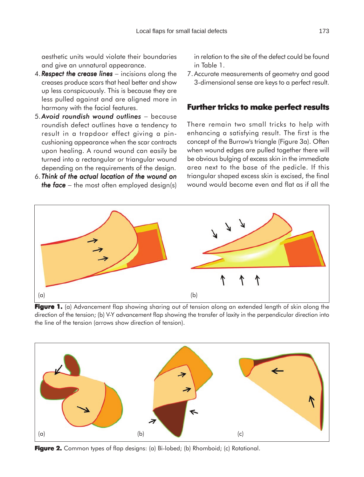aesthetic units would violate their boundaries and give an unnatural appearance.

- 4. *Respect the crease lines* − incisions along the creases produce scars that heal better and show up less conspicuously. This is because they are less pulled against and are aligned more in harmony with the facial features.
- 5.*Avoid roundish wound outlines* − because roundish defect outlines have a tendency to result in a trapdoor effect giving a pincushioning appearance when the scar contracts upon healing. A round wound can easily be turned into a rectangular or triangular wound depending on the requirements of the design.
- 6. *Think of the actual location of the wound on the face* – the most often employed design(s)

in relation to the site of the defect could be found in Table 1.

7.Accurate measurements of geometry and good 3-dimensional sense are keys to a perfect result.

#### **Further tricks to make perfect results**

There remain two small tricks to help with enhancing a satisfying result. The first is the concept of the Burrow's triangle (Figure 3a). Often when wound edges are pulled together there will be obvious bulging of excess skin in the immediate area next to the base of the pedicle. If this triangular shaped excess skin is excised, the final wound would become even and flat as if all the



**Figure 1.** (a) Advancement flap showing sharing out of tension along an extended length of skin along the direction of the tension; (b) V-Y advancement flap showing the transfer of laxity in the perpendicular direction into the line of the tension (arrows show direction of tension).



Figure 2. Common types of flap designs: (a) Bi-lobed; (b) Rhomboid; (c) Rotational.